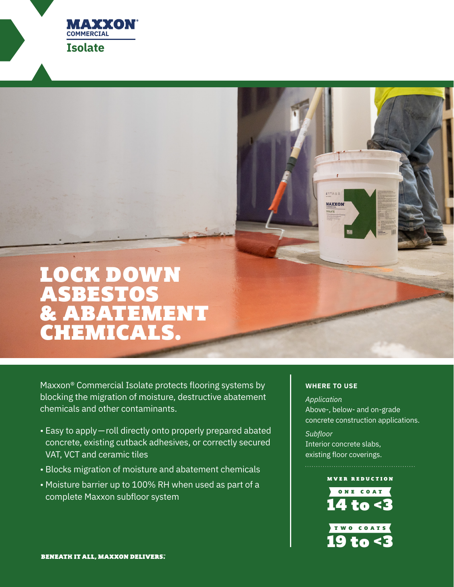

# LOCK DOWN ASBESTOS & ABATEMENT CHEMICALS.

Maxxon® Commercial Isolate protects flooring systems by blocking the migration of moisture, destructive abatement chemicals and other contaminants.

- Easy to apply—roll directly onto properly prepared abated concrete, existing cutback adhesives, or correctly secured VAT, VCT and ceramic tiles
- Blocks migration of moisture and abatement chemicals
- Moisture barrier up to 100% RH when used as part of a complete Maxxon subfloor system

## **WHERE TO USE**

 $4^{\text{max}}$ IA & B **MAXXON** 

*Application* Above-, below- and on-grade concrete construction applications.

*Subfloor* Interior concrete slabs, existing floor coverings.